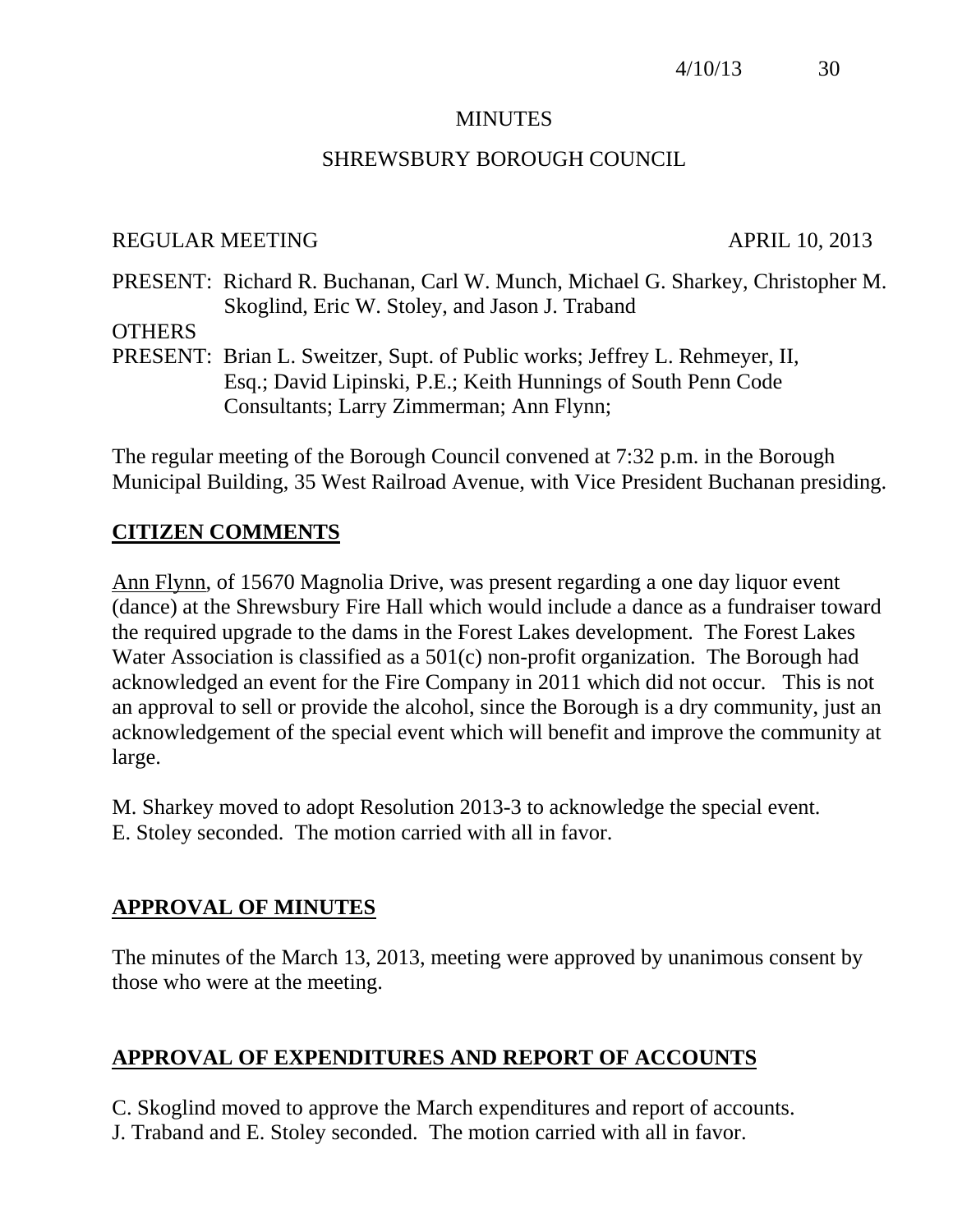### **MINUTES**

## SHREWSBURY BOROUGH COUNCIL

#### REGULAR MEETING APRIL 10, 2013

PRESENT: Richard R. Buchanan, Carl W. Munch, Michael G. Sharkey, Christopher M. Skoglind, Eric W. Stoley, and Jason J. Traband

**OTHERS** 

PRESENT: Brian L. Sweitzer, Supt. of Public works; Jeffrey L. Rehmeyer, II, Esq.; David Lipinski, P.E.; Keith Hunnings of South Penn Code Consultants; Larry Zimmerman; Ann Flynn;

The regular meeting of the Borough Council convened at 7:32 p.m. in the Borough Municipal Building, 35 West Railroad Avenue, with Vice President Buchanan presiding.

## **CITIZEN COMMENTS**

Ann Flynn, of 15670 Magnolia Drive, was present regarding a one day liquor event (dance) at the Shrewsbury Fire Hall which would include a dance as a fundraiser toward the required upgrade to the dams in the Forest Lakes development. The Forest Lakes Water Association is classified as a 501(c) non-profit organization. The Borough had acknowledged an event for the Fire Company in 2011 which did not occur. This is not an approval to sell or provide the alcohol, since the Borough is a dry community, just an acknowledgement of the special event which will benefit and improve the community at large.

M. Sharkey moved to adopt Resolution 2013-3 to acknowledge the special event. E. Stoley seconded. The motion carried with all in favor.

# **APPROVAL OF MINUTES**

The minutes of the March 13, 2013, meeting were approved by unanimous consent by those who were at the meeting.

# **APPROVAL OF EXPENDITURES AND REPORT OF ACCOUNTS**

C. Skoglind moved to approve the March expenditures and report of accounts. J. Traband and E. Stoley seconded. The motion carried with all in favor.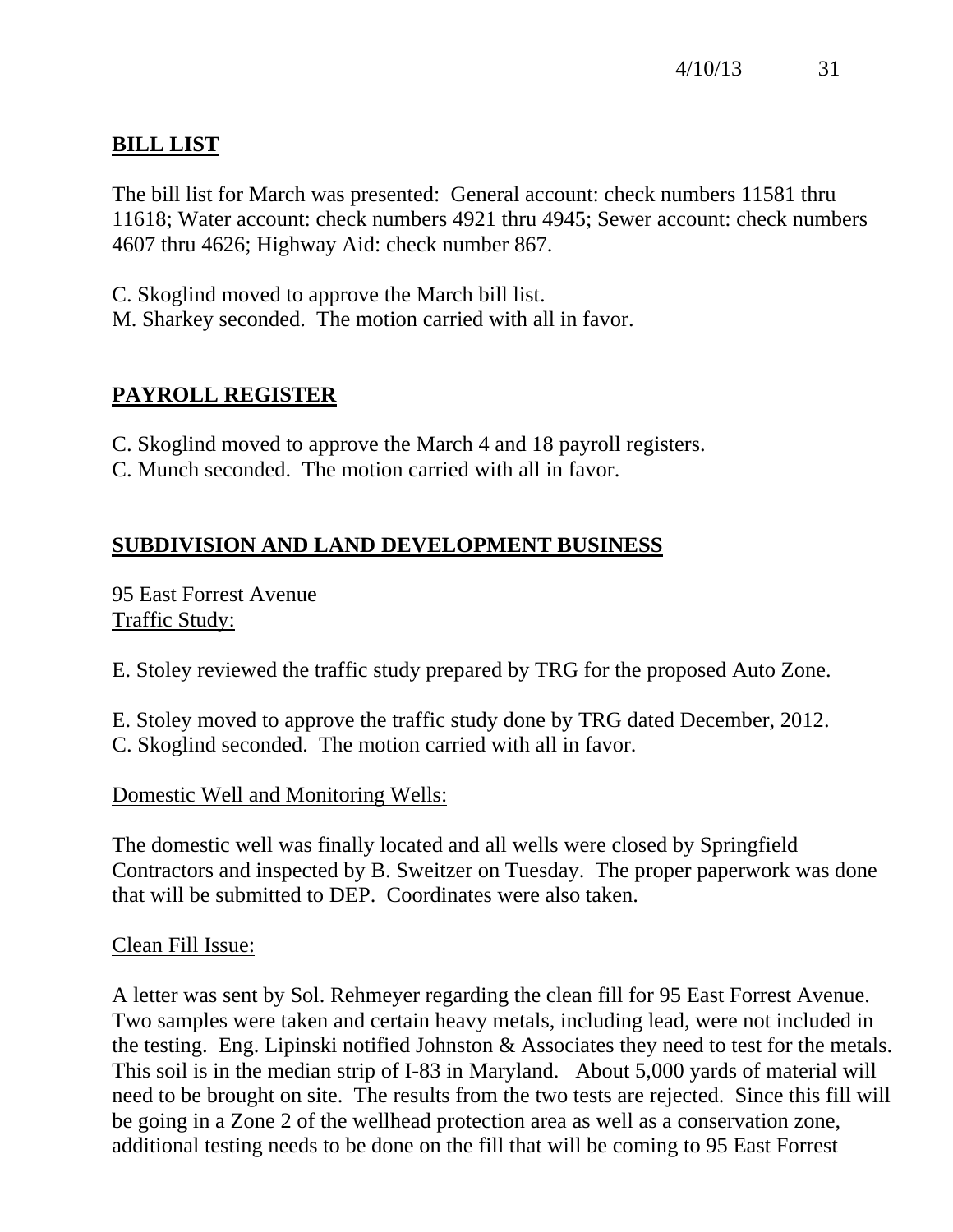# **BILL LIST**

The bill list for March was presented: General account: check numbers 11581 thru 11618; Water account: check numbers 4921 thru 4945; Sewer account: check numbers 4607 thru 4626; Highway Aid: check number 867.

C. Skoglind moved to approve the March bill list.

M. Sharkey seconded. The motion carried with all in favor.

# **PAYROLL REGISTER**

C. Skoglind moved to approve the March 4 and 18 payroll registers.

C. Munch seconded. The motion carried with all in favor.

# **SUBDIVISION AND LAND DEVELOPMENT BUSINESS**

95 East Forrest Avenue Traffic Study:

E. Stoley reviewed the traffic study prepared by TRG for the proposed Auto Zone.

E. Stoley moved to approve the traffic study done by TRG dated December, 2012. C. Skoglind seconded. The motion carried with all in favor.

Domestic Well and Monitoring Wells:

The domestic well was finally located and all wells were closed by Springfield Contractors and inspected by B. Sweitzer on Tuesday. The proper paperwork was done that will be submitted to DEP. Coordinates were also taken.

# Clean Fill Issue:

A letter was sent by Sol. Rehmeyer regarding the clean fill for 95 East Forrest Avenue. Two samples were taken and certain heavy metals, including lead, were not included in the testing. Eng. Lipinski notified Johnston & Associates they need to test for the metals. This soil is in the median strip of I-83 in Maryland. About 5,000 yards of material will need to be brought on site. The results from the two tests are rejected. Since this fill will be going in a Zone 2 of the wellhead protection area as well as a conservation zone, additional testing needs to be done on the fill that will be coming to 95 East Forrest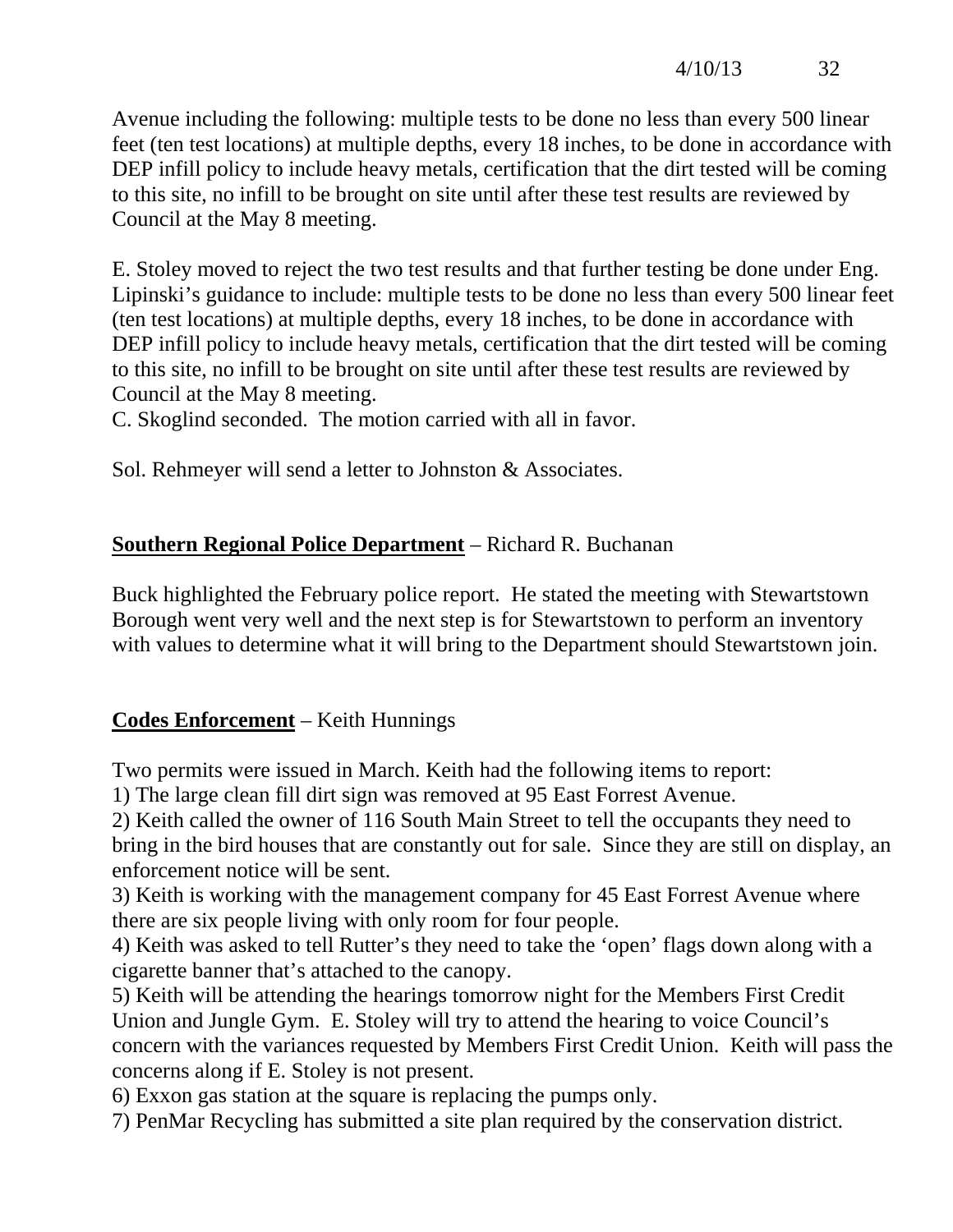Avenue including the following: multiple tests to be done no less than every 500 linear feet (ten test locations) at multiple depths, every 18 inches, to be done in accordance with DEP infill policy to include heavy metals, certification that the dirt tested will be coming to this site, no infill to be brought on site until after these test results are reviewed by Council at the May 8 meeting.

E. Stoley moved to reject the two test results and that further testing be done under Eng. Lipinski's guidance to include: multiple tests to be done no less than every 500 linear feet (ten test locations) at multiple depths, every 18 inches, to be done in accordance with DEP infill policy to include heavy metals, certification that the dirt tested will be coming to this site, no infill to be brought on site until after these test results are reviewed by Council at the May 8 meeting.

C. Skoglind seconded. The motion carried with all in favor.

Sol. Rehmeyer will send a letter to Johnston & Associates.

# **Southern Regional Police Department** – Richard R. Buchanan

Buck highlighted the February police report. He stated the meeting with Stewartstown Borough went very well and the next step is for Stewartstown to perform an inventory with values to determine what it will bring to the Department should Stewartstown join.

### **Codes Enforcement** – Keith Hunnings

Two permits were issued in March. Keith had the following items to report:

1) The large clean fill dirt sign was removed at 95 East Forrest Avenue.

2) Keith called the owner of 116 South Main Street to tell the occupants they need to bring in the bird houses that are constantly out for sale. Since they are still on display, an enforcement notice will be sent.

3) Keith is working with the management company for 45 East Forrest Avenue where there are six people living with only room for four people.

4) Keith was asked to tell Rutter's they need to take the 'open' flags down along with a cigarette banner that's attached to the canopy.

5) Keith will be attending the hearings tomorrow night for the Members First Credit Union and Jungle Gym. E. Stoley will try to attend the hearing to voice Council's concern with the variances requested by Members First Credit Union. Keith will pass the concerns along if E. Stoley is not present.

6) Exxon gas station at the square is replacing the pumps only.

7) PenMar Recycling has submitted a site plan required by the conservation district.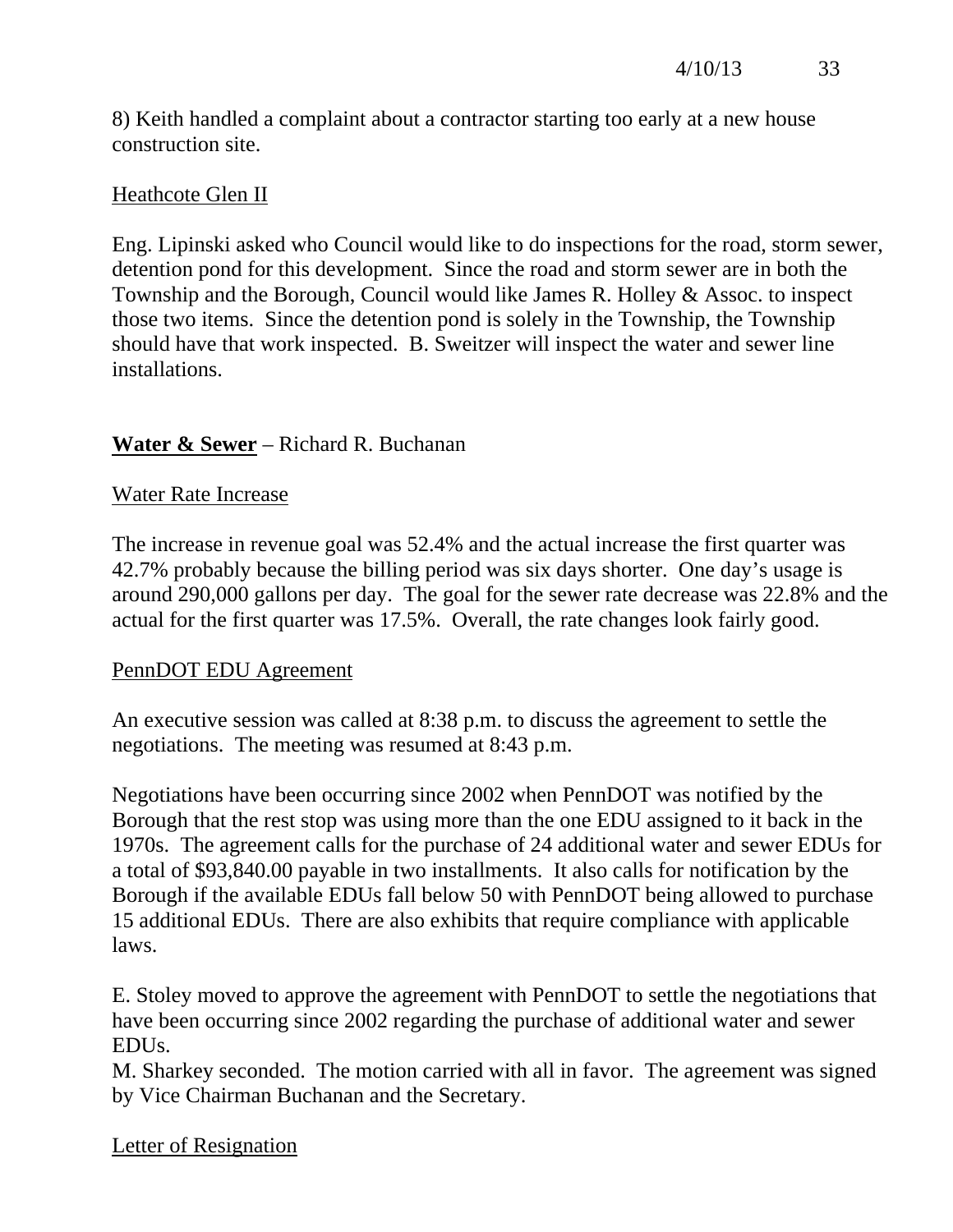8) Keith handled a complaint about a contractor starting too early at a new house construction site.

## Heathcote Glen II

Eng. Lipinski asked who Council would like to do inspections for the road, storm sewer, detention pond for this development. Since the road and storm sewer are in both the Township and the Borough, Council would like James R. Holley & Assoc. to inspect those two items. Since the detention pond is solely in the Township, the Township should have that work inspected. B. Sweitzer will inspect the water and sewer line installations.

## **Water & Sewer** – Richard R. Buchanan

### Water Rate Increase

The increase in revenue goal was 52.4% and the actual increase the first quarter was 42.7% probably because the billing period was six days shorter. One day's usage is around 290,000 gallons per day. The goal for the sewer rate decrease was 22.8% and the actual for the first quarter was 17.5%. Overall, the rate changes look fairly good.

#### PennDOT EDU Agreement

An executive session was called at 8:38 p.m. to discuss the agreement to settle the negotiations. The meeting was resumed at 8:43 p.m.

Negotiations have been occurring since 2002 when PennDOT was notified by the Borough that the rest stop was using more than the one EDU assigned to it back in the 1970s. The agreement calls for the purchase of 24 additional water and sewer EDUs for a total of \$93,840.00 payable in two installments. It also calls for notification by the Borough if the available EDUs fall below 50 with PennDOT being allowed to purchase 15 additional EDUs. There are also exhibits that require compliance with applicable laws.

E. Stoley moved to approve the agreement with PennDOT to settle the negotiations that have been occurring since 2002 regarding the purchase of additional water and sewer EDUs.

M. Sharkey seconded. The motion carried with all in favor. The agreement was signed by Vice Chairman Buchanan and the Secretary.

### Letter of Resignation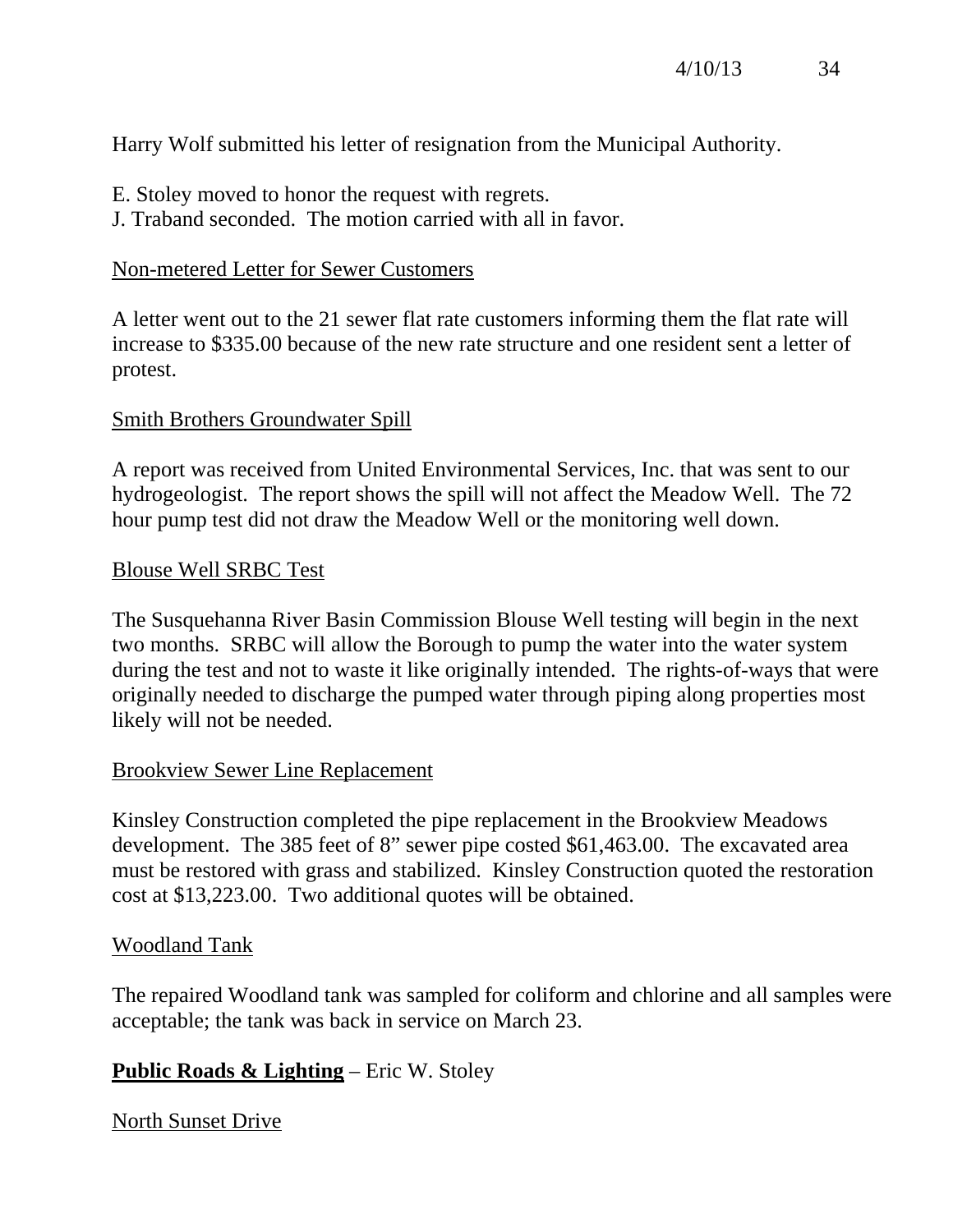# Harry Wolf submitted his letter of resignation from the Municipal Authority.

- E. Stoley moved to honor the request with regrets.
- J. Traband seconded. The motion carried with all in favor.

# Non-metered Letter for Sewer Customers

A letter went out to the 21 sewer flat rate customers informing them the flat rate will increase to \$335.00 because of the new rate structure and one resident sent a letter of protest.

# Smith Brothers Groundwater Spill

A report was received from United Environmental Services, Inc. that was sent to our hydrogeologist. The report shows the spill will not affect the Meadow Well. The 72 hour pump test did not draw the Meadow Well or the monitoring well down.

# Blouse Well SRBC Test

The Susquehanna River Basin Commission Blouse Well testing will begin in the next two months. SRBC will allow the Borough to pump the water into the water system during the test and not to waste it like originally intended. The rights-of-ways that were originally needed to discharge the pumped water through piping along properties most likely will not be needed.

# Brookview Sewer Line Replacement

Kinsley Construction completed the pipe replacement in the Brookview Meadows development. The 385 feet of 8" sewer pipe costed \$61,463.00. The excavated area must be restored with grass and stabilized. Kinsley Construction quoted the restoration cost at \$13,223.00. Two additional quotes will be obtained.

# Woodland Tank

The repaired Woodland tank was sampled for coliform and chlorine and all samples were acceptable; the tank was back in service on March 23.

# **Public Roads & Lighting** – Eric W. Stoley

# North Sunset Drive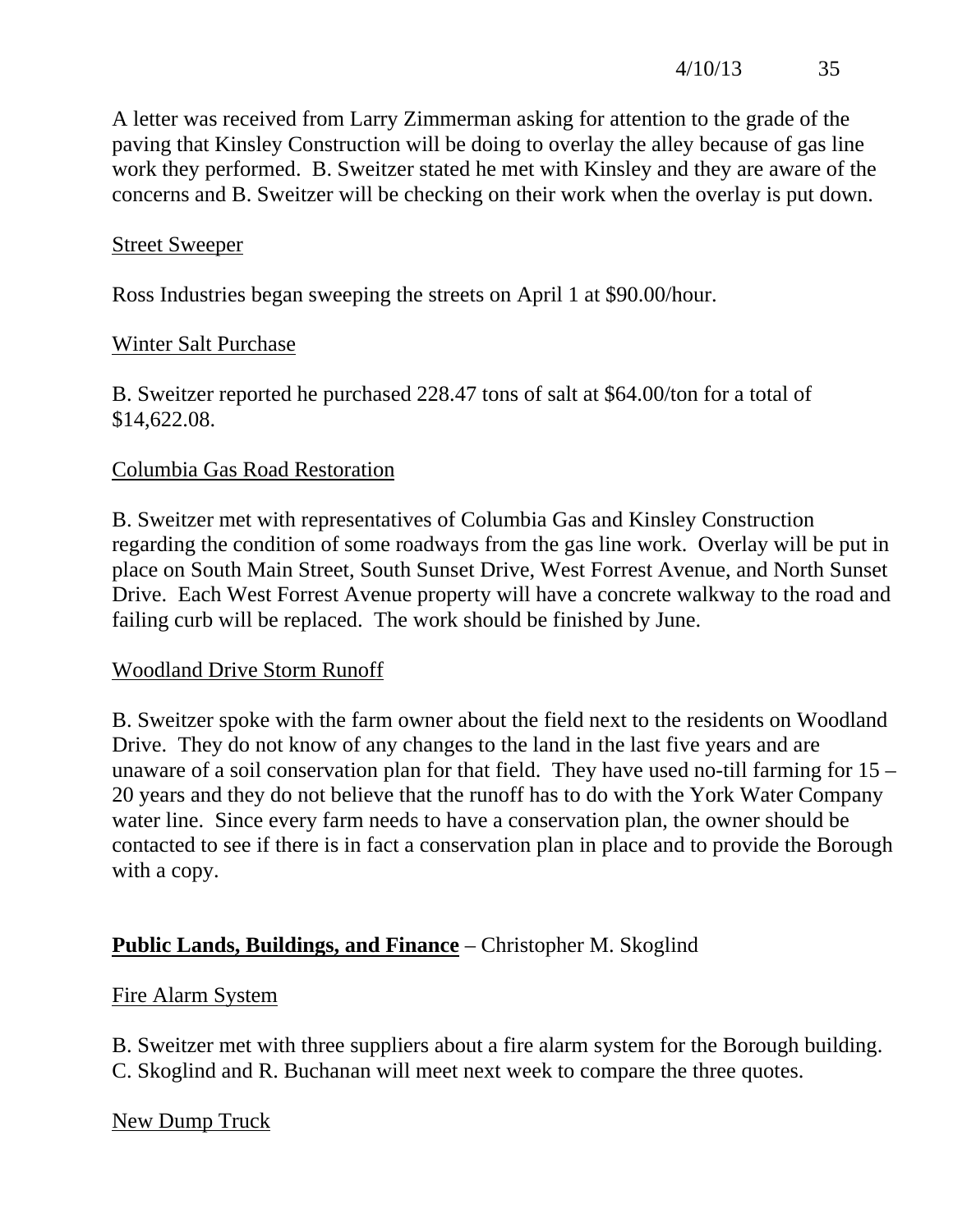A letter was received from Larry Zimmerman asking for attention to the grade of the paving that Kinsley Construction will be doing to overlay the alley because of gas line work they performed. B. Sweitzer stated he met with Kinsley and they are aware of the concerns and B. Sweitzer will be checking on their work when the overlay is put down.

### Street Sweeper

Ross Industries began sweeping the streets on April 1 at \$90.00/hour.

## Winter Salt Purchase

B. Sweitzer reported he purchased 228.47 tons of salt at \$64.00/ton for a total of \$14,622.08.

## Columbia Gas Road Restoration

B. Sweitzer met with representatives of Columbia Gas and Kinsley Construction regarding the condition of some roadways from the gas line work. Overlay will be put in place on South Main Street, South Sunset Drive, West Forrest Avenue, and North Sunset Drive. Each West Forrest Avenue property will have a concrete walkway to the road and failing curb will be replaced. The work should be finished by June.

### Woodland Drive Storm Runoff

B. Sweitzer spoke with the farm owner about the field next to the residents on Woodland Drive. They do not know of any changes to the land in the last five years and are unaware of a soil conservation plan for that field. They have used no-till farming for 15 – 20 years and they do not believe that the runoff has to do with the York Water Company water line. Since every farm needs to have a conservation plan, the owner should be contacted to see if there is in fact a conservation plan in place and to provide the Borough with a copy.

# **Public Lands, Buildings, and Finance** – Christopher M. Skoglind

# Fire Alarm System

B. Sweitzer met with three suppliers about a fire alarm system for the Borough building. C. Skoglind and R. Buchanan will meet next week to compare the three quotes.

# New Dump Truck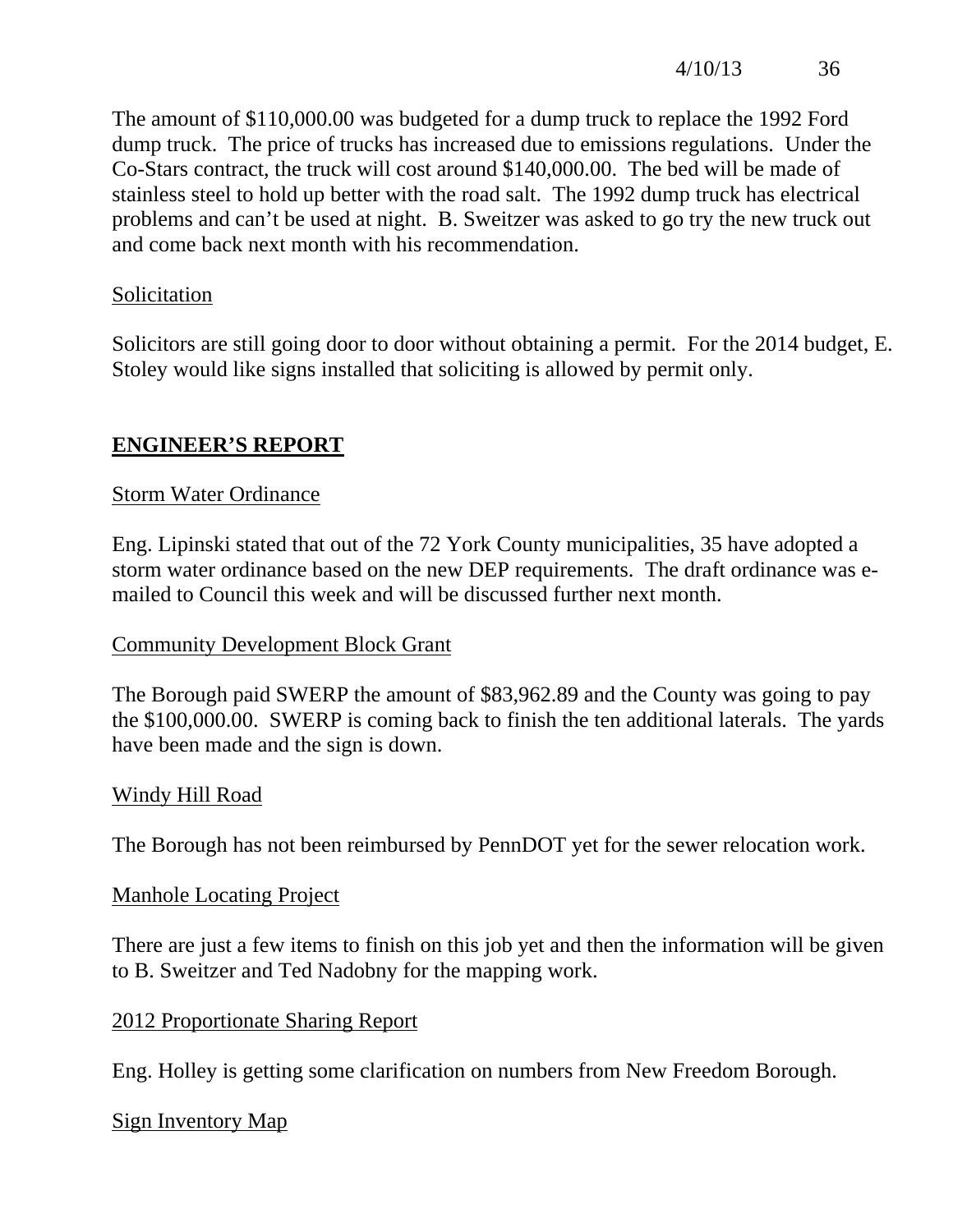The amount of \$110,000.00 was budgeted for a dump truck to replace the 1992 Ford dump truck. The price of trucks has increased due to emissions regulations. Under the Co-Stars contract, the truck will cost around \$140,000.00. The bed will be made of stainless steel to hold up better with the road salt. The 1992 dump truck has electrical problems and can't be used at night. B. Sweitzer was asked to go try the new truck out and come back next month with his recommendation.

### **Solicitation**

Solicitors are still going door to door without obtaining a permit. For the 2014 budget, E. Stoley would like signs installed that soliciting is allowed by permit only.

# **ENGINEER'S REPORT**

### Storm Water Ordinance

Eng. Lipinski stated that out of the 72 York County municipalities, 35 have adopted a storm water ordinance based on the new DEP requirements. The draft ordinance was emailed to Council this week and will be discussed further next month.

### Community Development Block Grant

The Borough paid SWERP the amount of \$83,962.89 and the County was going to pay the \$100,000.00. SWERP is coming back to finish the ten additional laterals. The yards have been made and the sign is down.

#### Windy Hill Road

The Borough has not been reimbursed by PennDOT yet for the sewer relocation work.

#### Manhole Locating Project

There are just a few items to finish on this job yet and then the information will be given to B. Sweitzer and Ted Nadobny for the mapping work.

#### 2012 Proportionate Sharing Report

Eng. Holley is getting some clarification on numbers from New Freedom Borough.

### Sign Inventory Map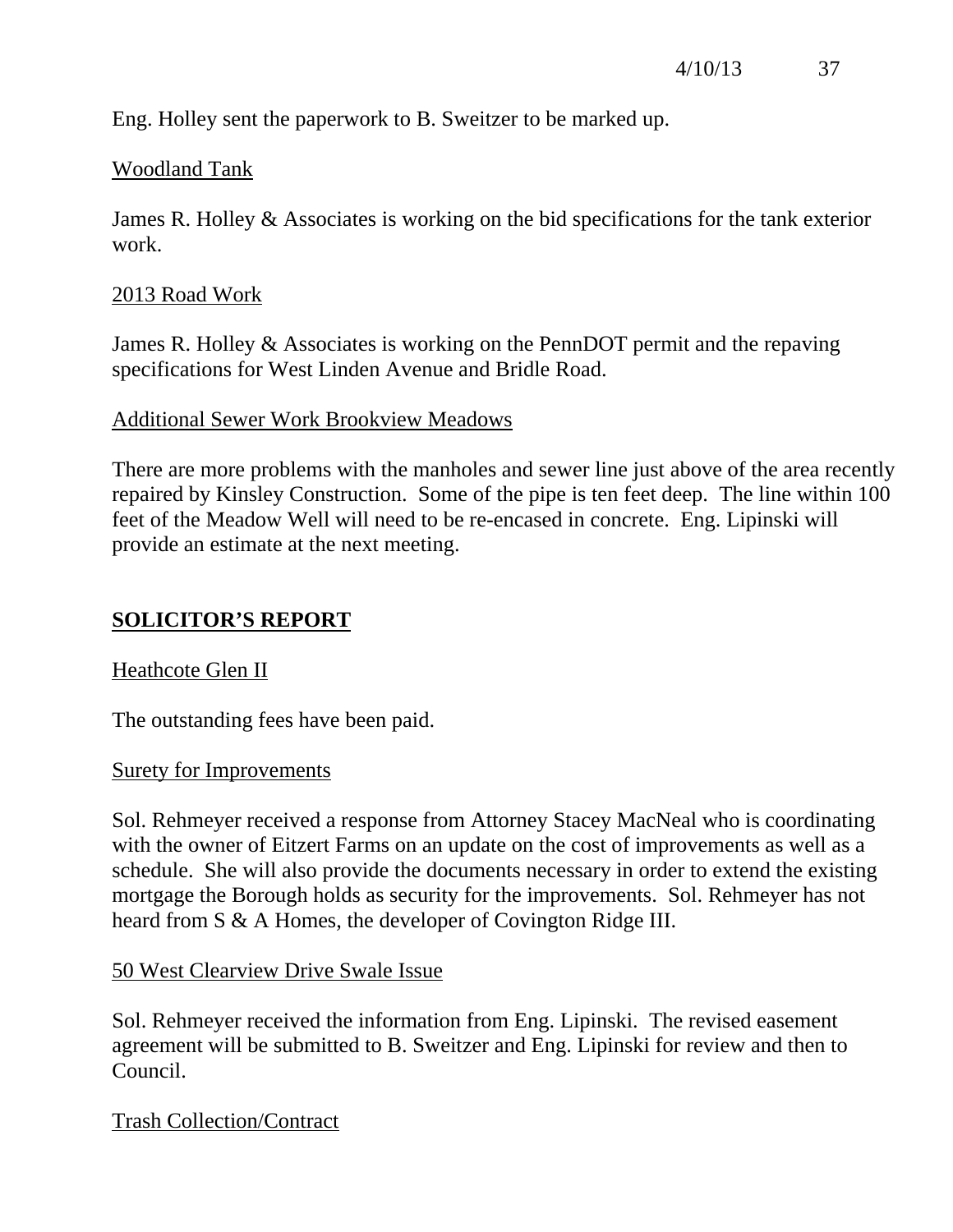Eng. Holley sent the paperwork to B. Sweitzer to be marked up.

#### Woodland Tank

James R. Holley & Associates is working on the bid specifications for the tank exterior work.

#### 2013 Road Work

James R. Holley & Associates is working on the PennDOT permit and the repaving specifications for West Linden Avenue and Bridle Road.

#### Additional Sewer Work Brookview Meadows

There are more problems with the manholes and sewer line just above of the area recently repaired by Kinsley Construction. Some of the pipe is ten feet deep. The line within 100 feet of the Meadow Well will need to be re-encased in concrete. Eng. Lipinski will provide an estimate at the next meeting.

### **SOLICITOR'S REPORT**

#### Heathcote Glen II

The outstanding fees have been paid.

#### Surety for Improvements

Sol. Rehmeyer received a response from Attorney Stacey MacNeal who is coordinating with the owner of Eitzert Farms on an update on the cost of improvements as well as a schedule. She will also provide the documents necessary in order to extend the existing mortgage the Borough holds as security for the improvements. Sol. Rehmeyer has not heard from S & A Homes, the developer of Covington Ridge III.

### 50 West Clearview Drive Swale Issue

Sol. Rehmeyer received the information from Eng. Lipinski. The revised easement agreement will be submitted to B. Sweitzer and Eng. Lipinski for review and then to Council.

Trash Collection/Contract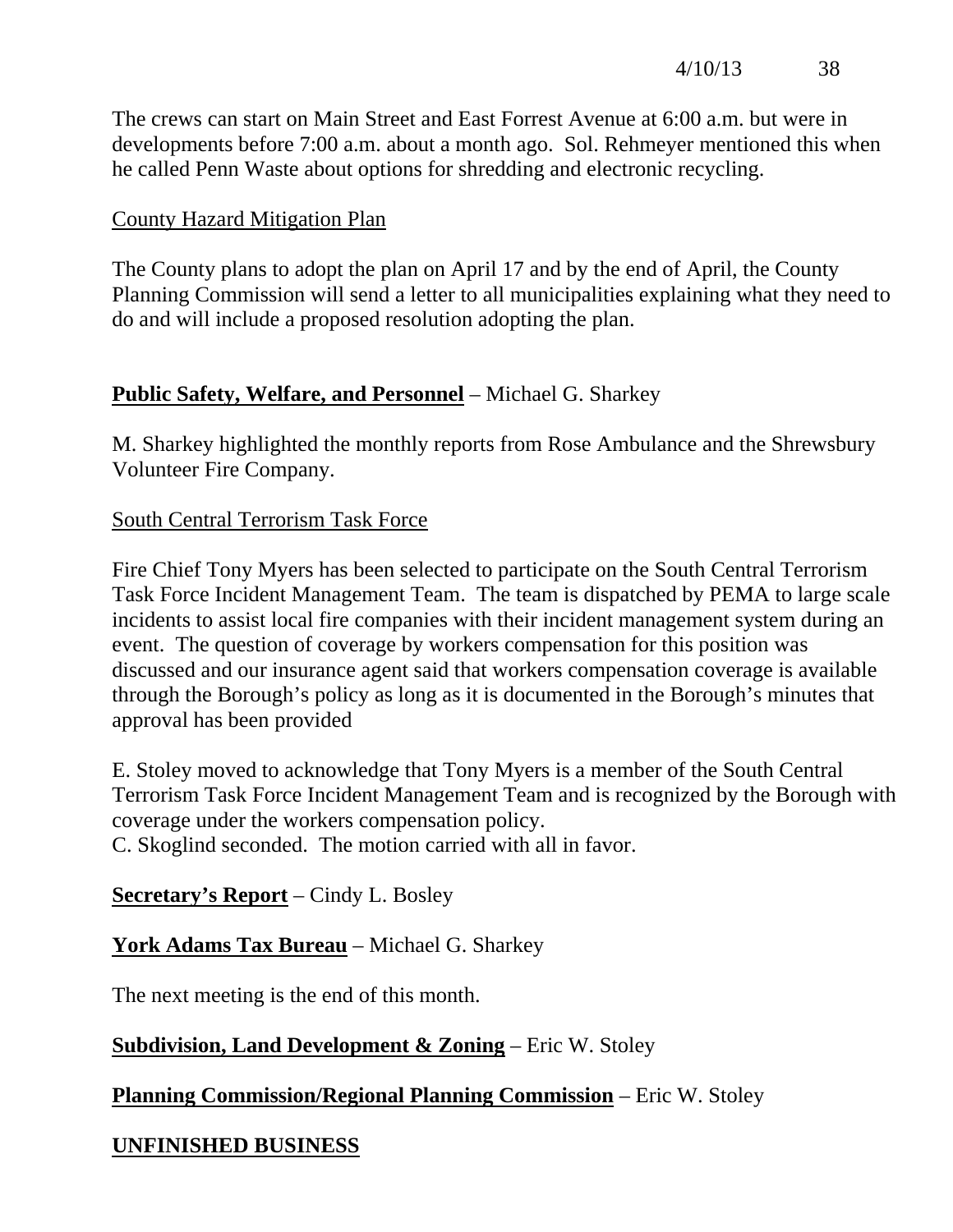The crews can start on Main Street and East Forrest Avenue at 6:00 a.m. but were in developments before 7:00 a.m. about a month ago. Sol. Rehmeyer mentioned this when he called Penn Waste about options for shredding and electronic recycling.

### County Hazard Mitigation Plan

The County plans to adopt the plan on April 17 and by the end of April, the County Planning Commission will send a letter to all municipalities explaining what they need to do and will include a proposed resolution adopting the plan.

## **Public Safety, Welfare, and Personnel** – Michael G. Sharkey

M. Sharkey highlighted the monthly reports from Rose Ambulance and the Shrewsbury Volunteer Fire Company.

## South Central Terrorism Task Force

Fire Chief Tony Myers has been selected to participate on the South Central Terrorism Task Force Incident Management Team. The team is dispatched by PEMA to large scale incidents to assist local fire companies with their incident management system during an event. The question of coverage by workers compensation for this position was discussed and our insurance agent said that workers compensation coverage is available through the Borough's policy as long as it is documented in the Borough's minutes that approval has been provided

E. Stoley moved to acknowledge that Tony Myers is a member of the South Central Terrorism Task Force Incident Management Team and is recognized by the Borough with coverage under the workers compensation policy.

C. Skoglind seconded. The motion carried with all in favor.

# **Secretary's Report** – Cindy L. Bosley

# **York Adams Tax Bureau** – Michael G. Sharkey

The next meeting is the end of this month.

# **Subdivision, Land Development & Zoning** – Eric W. Stoley

# **Planning Commission/Regional Planning Commission** – Eric W. Stoley

# **UNFINISHED BUSINESS**